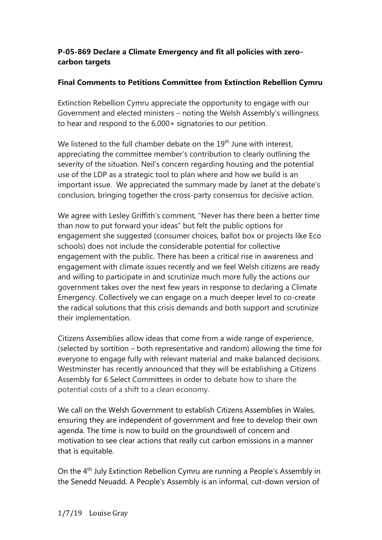## **P-05-869 Declare a Climate Emergency and fit all policies with zerocarbon targets**

## **Final Comments to Petitions Committee from Extinction Rebellion Cymru**

Extinction Rebellion Cymru appreciate the opportunity to engage with our Government and elected ministers – noting the Welsh Assembly's willingness to hear and respond to the 6,000+ signatories to our petition.

We listened to the full chamber debate on the 19<sup>th</sup> June with interest, appreciating the committee member's contribution to clearly outlining the severity of the situation. Neil's concern regarding housing and the potential use of the LDP as a strategic tool to plan where and how we build is an important issue. We appreciated the summary made by Janet at the debate's conclusion, bringing together the cross-party consensus for decisive action.

We agree with Lesley Griffith's comment, "Never has there been a better time than now to put forward your ideas" but felt the public options for engagement she suggested (consumer choices, ballot box or projects like Eco schools) does not include the considerable potential for collective engagement with the public. There has been a critical rise in awareness and engagement with climate issues recently and we feel Welsh citizens are ready and willing to participate in and scrutinize much more fully the actions our government takes over the next few years in response to declaring a Climate Emergency. Collectively we can engage on a much deeper level to co-create the radical solutions that this crisis demands and both support and scrutinize their implementation.

Citizens Assemblies allow ideas that come from a wide range of experience, (selected by sortition – both representative and random) allowing the time for everyone to engage fully with relevant material and make balanced decisions. Westminster has recently announced that they will be establishing a Citizens Assembly for 6 Select Committees in order to debate how to share the potential costs of a shift to a clean economy.

We call on the Welsh Government to establish Citizens Assemblies in Wales, ensuring they are independent of government and free to develop their own agenda. The time is now to build on the groundswell of concern and motivation to see clear actions that really cut carbon emissions in a manner that is equitable.

On the 4th July Extinction Rebellion Cymru are running a People's Assembly in the Senedd Neuadd. A People's Assembly is an informal, cut-down version of